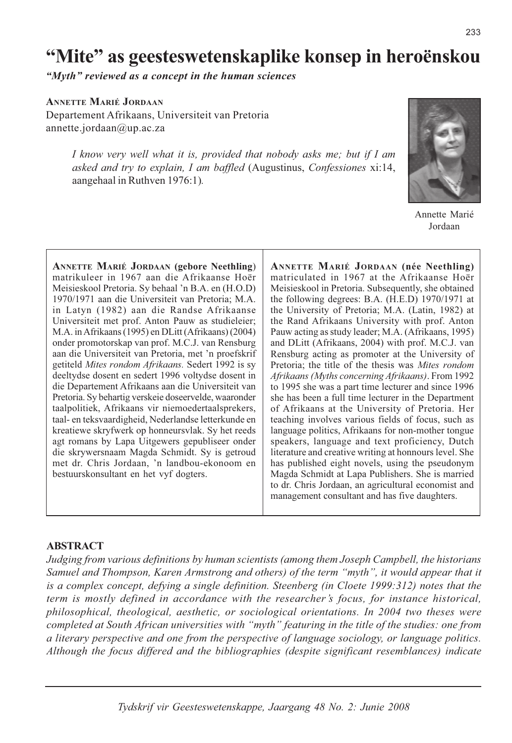# "Mite" as geesteswetenskaplike konsep in heroënskou

"Myth" reviewed as a concept in the human sciences

# **ANNETTE MARIÉ JORDAAN**

Departement Afrikaans, Universiteit van Pretoria annette.jordaan@up.ac.za

> I know very well what it is, provided that nobody asks me; but if I am asked and try to explain, I am baffled (Augustinus, Confessiones xi:14, aangehaal in Ruthven 1976:1).



Annette Marié Jordaan

**ANNETTE MARIÉ JORDAAN (gebore Neethling)** matrikuleer in 1967 aan die Afrikaanse Hoër Meisieskool Pretoria. Sy behaal 'n B.A. en (H.O.D) 1970/1971 aan die Universiteit van Pretoria; M.A. in Latyn (1982) aan die Randse Afrikaanse Universiteit met prof. Anton Pauw as studieleier; M.A. in Afrikaans (1995) en DLitt (Afrikaans) (2004) onder promotorskap van prof. M.C.J. van Rensburg aan die Universiteit van Pretoria, met 'n proefskrif getiteld Mites rondom Afrikaans. Sedert 1992 is sy deeltydse dosent en sedert 1996 voltydse dosent in die Departement Afrikaans aan die Universiteit van Pretoria. Sy behartig verskeie doseervelde, waaronder taalpolitiek, Afrikaans vir niemoedertaalsprekers, taal- en teksvaardigheid, Nederlandse letterkunde en kreatiewe skryfwerk op honneursvlak. Sy het reeds agt romans by Lapa Uitgewers gepubliseer onder die skrywersnaam Magda Schmidt. Sy is getroud met dr. Chris Jordaan, 'n landbou-ekonoom en bestuurskonsultant en het vyf dogters.

ANNETTE MARIÉ JORDAAN (née Neethling) matriculated in 1967 at the Afrikaanse Hoër Meisieskool in Pretoria. Subsequently, she obtained the following degrees: B.A. (H.E.D) 1970/1971 at the University of Pretoria; M.A. (Latin, 1982) at the Rand Afrikaans University with prof. Anton Pauw acting as study leader; M.A. (Afrikaans, 1995) and DLitt (Afrikaans, 2004) with prof. M.C.J. van Rensburg acting as promoter at the University of Pretoria; the title of the thesis was Mites rondom Afrikaans (Myths concerning Afrikaans). From 1992 to 1995 she was a part time lecturer and since 1996 she has been a full time lecturer in the Department of Afrikaans at the University of Pretoria. Her teaching involves various fields of focus, such as language politics, Afrikaans for non-mother tongue speakers, language and text proficiency, Dutch literature and creative writing at honnours level. She has published eight novels, using the pseudonym Magda Schmidt at Lapa Publishers. She is married to dr. Chris Jordaan, an agricultural economist and management consultant and has five daughters.

# **ABSTRACT**

Judging from various definitions by human scientists (among them Joseph Campbell, the historians Samuel and Thompson, Karen Armstrong and others) of the term "myth", it would appear that it is a complex concept, defying a single definition. Steenberg (in Cloete 1999:312) notes that the term is mostly defined in accordance with the researcher's focus, for instance historical, philosophical, theological, aesthetic, or sociological orientations. In 2004 two theses were completed at South African universities with "myth" featuring in the title of the studies: one from a literary perspective and one from the perspective of language sociology, or language politics. Although the focus differed and the bibliographies (despite significant resemblances) indicate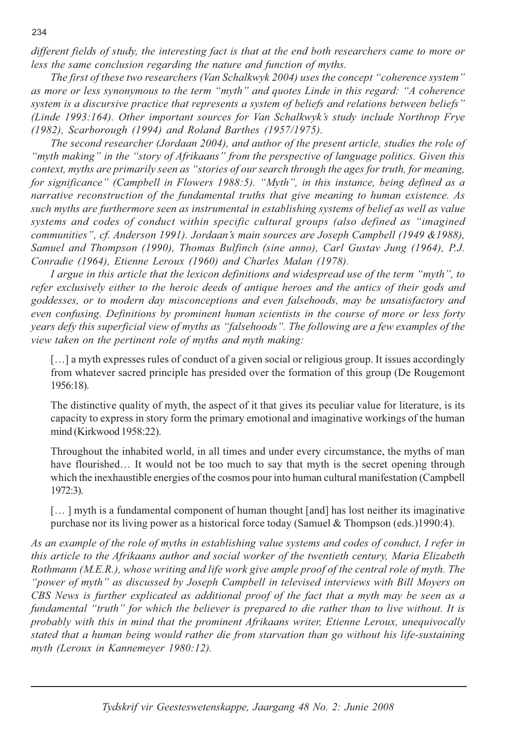different fields of study, the interesting fact is that at the end both researchers came to more or less the same conclusion regarding the nature and function of myths.

The first of these two researchers (Van Schalkwyk 2004) uses the concept "coherence system" as more or less synonymous to the term "myth" and quotes Linde in this regard: "A coherence system is a discursive practice that represents a system of beliefs and relations between beliefs" (Linde 1993:164). Other important sources for Van Schalkwyk's study include Northrop Frye (1982), Scarborough (1994) and Roland Barthes (1957/1975).

The second researcher (Jordaan 2004), and author of the present article, studies the role of "myth making" in the "story of Afrikaans" from the perspective of language politics. Given this context, myths are primarily seen as "stories of our search through the ages for truth, for meaning, for significance" (Campbell in Flowers 1988:5). "Myth", in this instance, being defined as a narrative reconstruction of the fundamental truths that give meaning to human existence. As such myths are furthermore seen as instrumental in establishing systems of belief as well as value systems and codes of conduct within specific cultural groups (also defined as "imagined" communities", cf. Anderson 1991). Jordaan's main sources are Joseph Campbell (1949 & 1988), Samuel and Thompson (1990), Thomas Bulfinch (sine anno), Carl Gustav Jung (1964), P.J. Conradie (1964), Etienne Leroux (1960) and Charles Malan (1978).

I argue in this article that the lexicon definitions and widespread use of the term "myth", to refer exclusively either to the heroic deeds of antique heroes and the antics of their gods and goddesses, or to modern day misconceptions and even falsehoods, may be unsatisfactory and even confusing. Definitions by prominent human scientists in the course of more or less forty years defy this superficial view of myths as "falsehoods". The following are a few examples of the view taken on the pertinent role of myths and myth making:

[...] a myth expresses rules of conduct of a given social or religious group. It issues accordingly from whatever sacred principle has presided over the formation of this group (De Rougemont 1956:18).

The distinctive quality of myth, the aspect of it that gives its peculiar value for literature, is its capacity to express in story form the primary emotional and imaginative workings of the human mind (Kirkwood 1958:22).

Throughout the inhabited world, in all times and under every circumstance, the myths of man have flourished... It would not be too much to say that myth is the secret opening through which the inexhaustible energies of the cosmos pour into human cultural manifestation (Campbell 1972:3).

 $\left[\dots\right]$  myth is a fundamental component of human thought  $\left[\text{and}\right]$  has lost neither its imaginative purchase nor its living power as a historical force today (Samuel & Thompson (eds.) 1990:4).

As an example of the role of myths in establishing value systems and codes of conduct, I refer in this article to the Afrikaans author and social worker of the twentieth century, Maria Elizabeth Rothmann (M.E.R.), whose writing and life work give ample proof of the central role of myth. The "power of myth" as discussed by Joseph Campbell in televised interviews with Bill Moyers on CBS News is further explicated as additional proof of the fact that a myth may be seen as a fundamental "truth" for which the believer is prepared to die rather than to live without. It is probably with this in mind that the prominent Afrikaans writer, Etienne Leroux, unequivocally stated that a human being would rather die from starvation than go without his life-sustaining myth (Leroux in Kannemeyer 1980:12).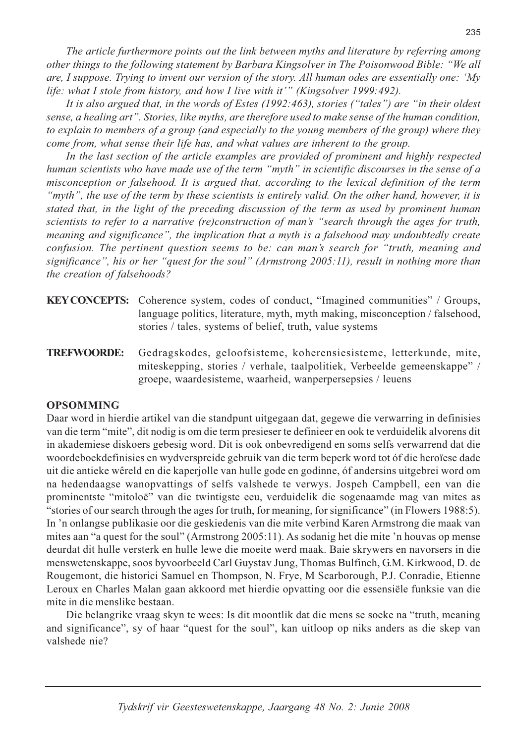The article furthermore points out the link between myths and literature by referring among other things to the following statement by Barbara Kingsolver in The Poisonwood Bible: "We all are, I suppose. Trying to invent our version of the story. All human odes are essentially one: 'My life: what I stole from history, and how I live with it'" (Kingsolver 1999:492).

It is also argued that, in the words of Estes (1992:463), stories ("tales") are "in their oldest sense, a healing art". Stories, like myths, are therefore used to make sense of the human condition, to explain to members of a group (and especially to the young members of the group) where they come from, what sense their life has, and what values are inherent to the group.

In the last section of the article examples are provided of prominent and highly respected human scientists who have made use of the term "myth" in scientific discourses in the sense of a misconception or falsehood. It is argued that, according to the lexical definition of the term "myth", the use of the term by these scientists is entirely valid. On the other hand, however, it is stated that, in the light of the preceding discussion of the term as used by prominent human scientists to refer to a narrative (re)construction of man's "search through the ages for truth, meaning and significance", the implication that a myth is a falsehood may undoubtedly create confusion. The pertinent question seems to be: can man's search for "truth, meaning and significance", his or her "quest for the soul" (Armstrong 2005:11), result in nothing more than the creation of falsehoods?

- **KEY CONCEPTS:** Coherence system, codes of conduct, "Imagined communities" / Groups, language politics, literature, myth, myth making, misconception / falsehood, stories / tales, systems of belief, truth, value systems
- Gedragskodes, geloofsisteme, koherensiesisteme, letterkunde, mite, **TREFWOORDE:** miteskepping, stories / verhale, taalpolitiek, Verbeelde gemeenskappe" / groepe, waardesisteme, waarheid, wanperpersepsies / leuens

# **OPSOMMING**

Daar word in hierdie artikel van die standpunt uitgegaan dat, gegewe die verwarring in definisies van die term "mite", dit nodig is om die term presieser te definieer en ook te verduidelik alvorens dit in akademiese diskoers gebesig word. Dit is ook onbevredigend en soms selfs verwarrend dat die woordeboekdefinisies en wydverspreide gebruik van die term beperk word tot óf die heroïese dade uit die antieke wêreld en die kaperjolle van hulle gode en godinne, óf andersins uitgebrei word om na hedendaagse wanopvattings of selfs valshede te verwys. Jospeh Campbell, een van die prominentste "mitoloë" van die twintigste eeu, verduidelik die sogenaamde mag van mites as "stories of our search through the ages for truth, for meaning, for significance" (in Flowers 1988:5). In 'n onlangse publikasie oor die geskiedenis van die mite verbind Karen Armstrong die maak van mites aan "a quest for the soul" (Armstrong 2005:11). As sodanig het die mite 'n houvas op mense deurdat dit hulle versterk en hulle lewe die moeite werd maak. Baie skrywers en navorsers in die menswetenskappe, soos byvoorbeeld Carl Guystav Jung, Thomas Bulfinch, G.M. Kirkwood, D. de Rougemont, die historici Samuel en Thompson, N. Frye, M. Scarborough, P.J. Conradie, Etienne Leroux en Charles Malan gaan akkoord met hierdie opvatting oor die essensiële funksie van die mite in die menslike bestaan.

Die belangrike vraag skyn te wees: Is dit moontlik dat die mens se soeke na "truth, meaning" and significance", sy of haar "quest for the soul", kan uitloop op niks anders as die skep van valshede nie?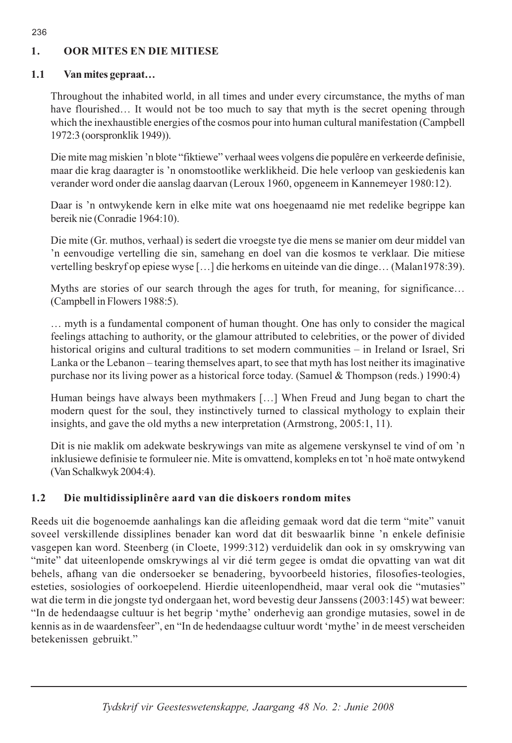#### **OOR MITES EN DIE MITIESE** 1.

#### $1.1$ Van mites gepraat...

Throughout the inhabited world, in all times and under every circumstance, the myths of man have flourished... It would not be too much to say that myth is the secret opening through which the inexhaustible energies of the cosmos pour into human cultural manifestation (Campbell 1972:3 (oorspronklik 1949)).

Die mite mag miskien 'n blote "fiktiewe" verhaal wees volgens die populêre en verkeerde definisie, maar die krag daaragter is 'n onomstootlike werklikheid. Die hele verloop van geskiedenis kan verander word onder die aanslag daarvan (Leroux 1960, opgeneem in Kannemeyer 1980:12).

Daar is 'n ontwykende kern in elke mite wat ons hoegenaamd nie met redelike begrippe kan bereik nie (Conradie 1964:10).

Die mite (Gr. muthos, verhaal) is sedert die vroegste tye die mens se manier om deur middel van 'n eenvoudige vertelling die sin, samehang en doel van die kosmos te verklaar. Die mitiese vertelling beskryf op epiese wyse [...] die herkoms en uiteinde van die dinge... (Malan1978:39).

Myths are stories of our search through the ages for truth, for meaning, for significance... (Campbell in Flowers 1988:5).

... myth is a fundamental component of human thought. One has only to consider the magical feelings attaching to authority, or the glamour attributed to celebrities, or the power of divided historical origins and cultural traditions to set modern communities - in Ireland or Israel, Sri Lanka or the Lebanon – tearing themselves apart, to see that myth has lost neither its imaginative purchase nor its living power as a historical force today. (Samuel & Thompson (reds.) 1990:4)

Human beings have always been mythmakers [...] When Freud and Jung began to chart the modern quest for the soul, they instinctively turned to classical mythology to explain their insights, and gave the old myths a new interpretation (Armstrong, 2005:1, 11).

Dit is nie maklik om adekwate beskrywings van mite as algemene verskynsel te vind of om 'n inklusiewe definisie te formuleer nie. Mite is omvattend, kompleks en tot 'n hoë mate ontwykend (Van Schalkwyk 2004:4).

#### $1.2$ Die multidissiplinêre aard van die diskoers rondom mites

Reeds uit die bogenoemde aanhalings kan die afleiding gemaak word dat die term "mite" vanuit soveel verskillende dissiplines benader kan word dat dit beswaarlik binne 'n enkele definisie vasgepen kan word. Steenberg (in Cloete, 1999:312) verduidelik dan ook in sy omskrywing van "mite" dat uiteenlopende omskrywings al vir dié term gegee is omdat die opvatting van wat dit behels, afhang van die ondersoeker se benadering, byvoorbeeld histories, filosofies-teologies, esteties, sosiologies of oorkoepelend. Hierdie uiteenlopendheid, maar veral ook die "mutasies" wat die term in die jongste tyd ondergaan het, word bevestig deur Janssens (2003:145) wat beweer: "In de hedendaagse cultuur is het begrip 'mythe' onderhevig aan grondige mutasies, sowel in de kennis as in de waardensfeer", en "In de hedendaagse cultuur wordt 'mythe' in de meest verscheiden betekenissen gebruikt."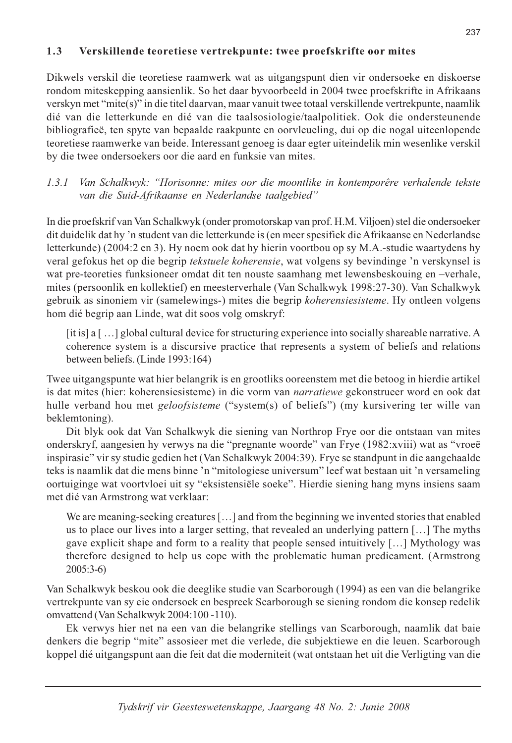#### Verskillende teoretiese vertrekpunte: twee proefskrifte oor mites  $1.3$

Dikwels verskil die teoretiese raamwerk wat as uitgangspunt dien vir ondersoeke en diskoerse rondom miteskepping aansienlik. So het daar byvoorbeeld in 2004 twee proefskrifte in Afrikaans verskyn met "mite(s)" in die titel daarvan, maar vanuit twee totaal verskillende vertrekpunte, naamlik dié van die letterkunde en dié van die taalsosiologie/taalpolitiek. Ook die ondersteunende bibliografieë, ten spyte van bepaalde raakpunte en oorvleueling, dui op die nogal uiteenlopende teoretiese raamwerke van beide. Interessant genoeg is daar egter uiteindelik min wesenlike verskil by die twee ondersoekers oor die aard en funksie van mites.

### Van Schalkwyk: "Horisonne: mites oor die moontlike in kontemporêre verhalende tekste  $1.3.1$ van die Suid-Afrikaanse en Nederlandse taalgebied"

In die proefskrif van Van Schalkwyk (onder promotorskap van prof. H.M. Viljoen) stel die ondersoeker dit duidelik dat hy 'n student van die letterkunde is (en meer spesifiek die Afrikaanse en Nederlandse letterkunde) (2004:2 en 3). Hy noem ook dat hy hierin voortbou op sy M.A.-studie waartydens hy veral gefokus het op die begrip tekstuele koherensie, wat volgens sy bevindinge 'n verskynsel is wat pre-teoreties funksioneer omdat dit ten nouste saamhang met lewensbeskouing en -verhale, mites (persoonlik en kollektief) en meesterverhale (Van Schalkwyk 1998:27-30). Van Schalkwyk gebruik as sinoniem vir (samelewings-) mites die begrip koherensiesisteme. Hy ontleen volgens hom dié begrip aan Linde, wat dit soos volg omskryf:

[it is] a [...] global cultural device for structuring experience into socially shareable narrative. A coherence system is a discursive practice that represents a system of beliefs and relations between beliefs. (Linde 1993:164)

Twee uitgangspunte wat hier belangrik is en grootliks ooreenstem met die betoog in hierdie artikel is dat mites (hier: koherensiesisteme) in die vorm van *narratiewe* gekonstrueer word en ook dat hulle verband hou met geloofsisteme ("system(s) of beliefs") (my kursivering ter wille van beklemtoning).

Dit blyk ook dat Van Schalkwyk die siening van Northrop Frye oor die ontstaan van mites onderskryf, aangesien hy verwys na die "pregnante woorde" van Frye (1982:xviii) wat as "vroeë inspirasie" vir sy studie gedien het (Van Schalkwyk 2004:39). Frye se standpunt in die aangehaalde teks is naamlik dat die mens binne 'n "mitologiese universum" leef wat bestaan uit 'n versameling oortuiginge wat voortvloei uit sy "eksistensiële soeke". Hierdie siening hang myns insiens saam met dié van Armstrong wat verklaar:

We are meaning-seeking creatures  $[\dots]$  and from the beginning we invented stories that enabled us to place our lives into a larger setting, that revealed an underlying pattern [...] The myths gave explicit shape and form to a reality that people sensed intuitively [...] Mythology was therefore designed to help us cope with the problematic human predicament. (Armstrong  $2005:3-6$ 

Van Schalkwyk beskou ook die deeglike studie van Scarborough (1994) as een van die belangrike vertrekpunte van sy eie ondersoek en bespreek Scarborough se siening rondom die konsep redelik omvattend (Van Schalkwyk 2004:100-110).

Ek verwys hier net na een van die belangrike stellings van Scarborough, naamlik dat baie denkers die begrip "mite" assosieer met die verlede, die subjektiewe en die leuen. Scarborough koppel dié uitgangspunt aan die feit dat die moderniteit (wat ontstaan het uit die Verligting van die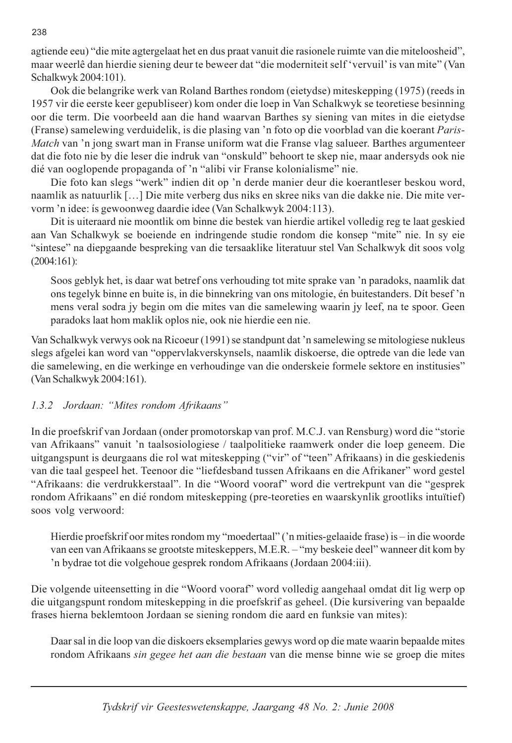agtiende eeu) "die mite agtergelaat het en dus praat vanuit die rasionele ruimte van die miteloosheid", maar weerlê dan hierdie siening deur te beweer dat "die moderniteit self 'vervuil' is van mite" (Van Schalkwyk 2004:101).

Ook die belangrike werk van Roland Barthes rondom (eietydse) miteskepping (1975) (reeds in 1957 vir die eerste keer gepubliseer) kom onder die loep in Van Schalkwyk se teoretiese besinning oor die term. Die voorbeeld aan die hand waarvan Barthes sy siening van mites in die eietydse (Franse) samelewing verduidelik, is die plasing van 'n foto op die voorblad van die koerant Paris-Match van 'n jong swart man in Franse uniform wat die Franse vlag salueer. Barthes argumenteer dat die foto nie by die leser die indruk van "onskuld" behoort te skep nie, maar andersyds ook nie dié van ooglopende propaganda of 'n "alibi vir Franse kolonialisme" nie.

Die foto kan slegs "werk" indien dit op 'n derde manier deur die koerantleser beskou word, naamlik as natuurlik [...] Die mite verberg dus niks en skree niks van die dakke nie. Die mite vervorm 'n idee: is gewoonweg daardie idee (Van Schalkwyk 2004:113).

Dit is uiteraard nie moontlik om binne die bestek van hierdie artikel volledig reg te laat geskied aan Van Schalkwyk se boeiende en indringende studie rondom die konsep "mite" nie. In sy eie "sintese" na diepgaande bespreking van die tersaaklike literatuur stel Van Schalkwyk dit soos volg  $(2004:161):$ 

Soos geblyk het, is daar wat betref ons verhouding tot mite sprake van 'n paradoks, naamlik dat ons tegelyk binne en buite is, in die binnekring van ons mitologie, én buitestanders. Dít besef 'n mens veral sodra jy begin om die mites van die samelewing waarin jy leef, na te spoor. Geen paradoks laat hom maklik oplos nie, ook nie hierdie een nie.

Van Schalkwyk verwys ook na Ricoeur (1991) se standpunt dat 'n samelewing se mitologiese nukleus slegs afgelei kan word van "oppervlakverskynsels, naamlik diskoerse, die optrede van die lede van die samelewing, en die werkinge en verhoudinge van die onderskeie formele sektore en institusies" (Van Schalkwyk 2004:161).

# 1.3.2 Jordaan: "Mites rondom Afrikaans"

In die proefskrif van Jordaan (onder promotorskap van prof. M.C.J. van Rensburg) word die "storie van Afrikaans" vanuit 'n taalsosiologiese / taalpolitieke raamwerk onder die loep geneem. Die uitgangspunt is deurgaans die rol wat miteskepping ("vir" of "teen" Afrikaans) in die geskiedenis van die taal gespeel het. Teenoor die "liefdesband tussen Afrikaans en die Afrikaner" word gestel "Afrikaans: die verdrukkerstaal". In die "Woord vooraf" word die vertrekpunt van die "gesprek rondom Afrikaans" en dié rondom miteskepping (pre-teoreties en waarskynlik grootliks intuïtief) soos volg verwoord:

Hierdie proefskrif oor mites rondom my "moedertaal" ('n mities-gelaaide frase) is – in die woorde van een van Afrikaans se grootste miteskeppers, M.E.R. - "my beskeie deel" wanneer dit kom by 'n bydrae tot die volgehoue gesprek rondom Afrikaans (Jordaan 2004:iii).

Die volgende uiteensetting in die "Woord vooraf" word volledig aangehaal omdat dit lig werp op die uitgangspunt rondom miteskepping in die proefskrif as geheel. (Die kursivering van bepaalde frases hierna beklemtoon Jordaan se siening rondom die aard en funksie van mites):

Daar sal in die loop van die diskoers eksemplaries gewys word op die mate waarin bepaalde mites rondom Afrikaans *sin gegee het aan die bestaan* van die mense binne wie se groep die mites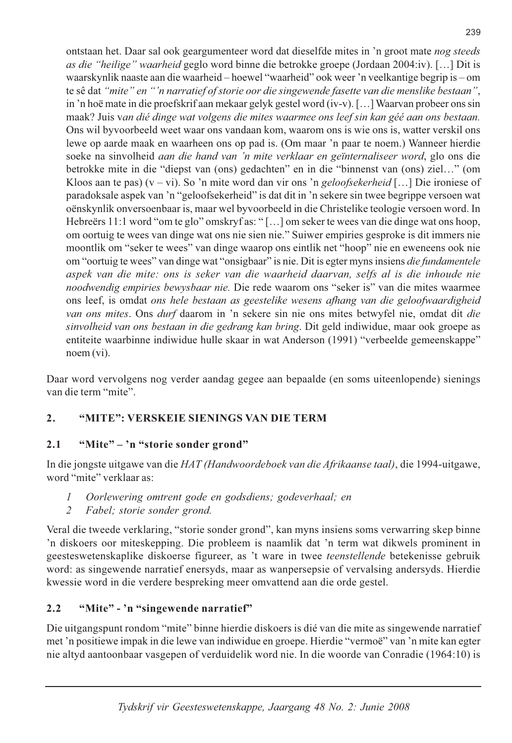ontstaan het. Daar sal ook geargumenteer word dat dieselfde mites in 'n groot mate nog steeds as die "heilige" waarheid geglo word binne die betrokke groepe (Jordaan 2004:iv). [...] Dit is waarskynlik naaste aan die waarheid-hoewel "waarheid" ook weer 'n veelkantige begrip is - om te sê dat "mite" en "'n narratief of storie oor die singewende fasette van die menslike bestaan", in 'n hoë mate in die proefskrif aan mekaar gelyk gestel word (iv-v). [...] Waarvan probeer ons sin maak? Juis van dié dinge wat volgens die mites waarmee ons leef sin kan géé aan ons bestaan. Ons wil byvoorbeeld weet waar ons vandaan kom, waarom ons is wie ons is, watter verskil ons lewe op aarde maak en waarheen ons op pad is. (Om maar 'n paar te noem.) Wanneer hierdie soeke na sinvolheid *aan die hand van 'n mite verklaar en geïnternaliseer word*, glo ons die betrokke mite in die "diepst van (ons) gedachten" en in die "binnenst van (ons) ziel..." (om Kloos aan te pas)  $(v - vi)$ . So 'n mite word dan vir ons 'n geloofsekerheid [...] Die ironiese of paradoksale aspek van 'n "geloofsekerheid" is dat dit in 'n sekere sin twee begrippe versoen wat oënskynlik onversoenbaar is, maar wel byvoorbeeld in die Christelike teologie versoen word. In Hebreërs 11:1 word "om te glo" omskryf as: "[...] om seker te wees van die dinge wat ons hoop, om oortuig te wees van dinge wat ons nie sien nie." Suiwer empiries gesproke is dit immers nie moontlik om "seker te wees" van dinge waarop ons eintlik net "hoop" nie en eweneens ook nie om "oortuig te wees" van dinge wat "onsigbaar" is nie. Dit is egter myns insiens die fundamentele aspek van die mite: ons is seker van die waarheid daarvan, selfs al is die inhoude nie noodwendig empiries bewysbaar nie. Die rede waarom ons "seker is" van die mites waarmee ons leef, is omdat ons hele bestaan as geestelike wesens afhang van die geloofwaardigheid van ons mites. Ons durf daarom in 'n sekere sin nie ons mites betwyfel nie, omdat dit die sinvolheid van ons bestaan in die gedrang kan bring. Dit geld indiwidue, maar ook groepe as entiteite waarbinne indiwidue hulle skaar in wat Anderson (1991) "verbeelde gemeenskappe"  $n$ oem $(vi)$ .

Daar word vervolgens nog verder aandag gegee aan bepaalde (en soms uiteenlopende) sienings van die term "mite".

#### "MITE": VERSKEIE SIENINGS VAN DIE TERM  $2.$

#### "Mite" – 'n "storie sonder grond"  $2.1$

In die jongste uitgawe van die HAT (Handwoordeboek van die Afrikaanse taal), die 1994-uitgawe, word "mite" verklaar as:

- Oorlewering omtrent gode en godsdiens; godeverhaal; en  $\mathcal{I}$
- $\overline{2}$ Fabel; storie sonder grond.

Veral die tweede verklaring, "storie sonder grond", kan myns insiens soms verwarring skep binne 'n diskoers oor miteskepping. Die probleem is naamlik dat 'n term wat dikwels prominent in geesteswetenskaplike diskoerse figureer, as 't ware in twee *teenstellende* betekenisse gebruik word: as singewende narratief enersyds, maar as wangersepsie of vervalsing andersyds. Hierdie kwessie word in die verdere bespreking meer omvattend aan die orde gestel.

#### $2.2$ "Mite" - 'n "singewende narratief"

Die uitgangspunt rondom "mite" binne hierdie diskoers is dié van die mite as singewende narratief met 'n positiewe impak in die lewe van indiwidue en groepe. Hierdie "vermoë" van 'n mite kan egter nie altyd aantoonbaar vasgepen of verduidelik word nie. In die woorde van Conradie (1964:10) is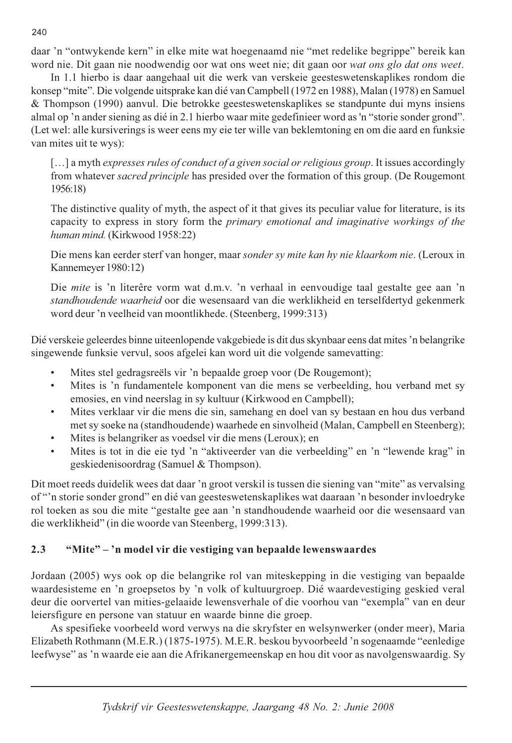daar 'n "ontwykende kern" in elke mite wat hoegenaamd nie "met redelike begrippe" bereik kan word nie. Dit gaan nie noodwendig oor wat ons weet nie; dit gaan oor wat ons glo dat ons weet.

In 1.1 hierbo is daar aangehaal uit die werk van verskeie geesteswetenskaplikes rondom die konsep "mite". Die volgende uitsprake kan dié van Campbell (1972 en 1988), Malan (1978) en Samuel & Thompson (1990) aanvul. Die betrokke geesteswetenskaplikes se standpunte dui myns insiens almal op 'n ander siening as dié in 2.1 hierbo waar mite gedefinieer word as 'n "storie sonder grond". (Let wel: alle kursiverings is weer eens my eie ter wille van beklemtoning en om die aard en funksie van mites uit te wys):

[...] a myth expresses rules of conduct of a given social or religious group. It issues accordingly from whatever *sacred principle* has presided over the formation of this group. (De Rougemont 1956:18)

The distinctive quality of myth, the aspect of it that gives its peculiar value for literature, is its capacity to express in story form the *primary emotional and imaginative workings of the* human mind. (Kirkwood 1958:22)

Die mens kan eerder sterf van honger, maar sonder sy mite kan hy nie klaarkom nie. (Leroux in Kannemeyer 1980:12)

Die mite is 'n literêre vorm wat d.m.v. 'n verhaal in eenvoudige taal gestalte gee aan 'n standhoudende waarheid oor die wesensaard van die werklikheid en terselfdertyd gekenmerk word deur 'n veelheid van moontlikhede. (Steenberg, 1999:313)

Dié verskeie geleerdes binne uiteenlopende vakgebiede is dit dus skynbaar eens dat mites 'n belangrike singewende funksie vervul, soos afgelei kan word uit die volgende samevatting:

- Mites stel gedragsreëls vir 'n bepaalde groep voor (De Rougemont);  $\bullet$
- Mites is 'n fundamentele komponent van die mens se verbeelding, hou verband met sy  $\bullet$ emosies, en vind neerslag in sy kultuur (Kirkwood en Campbell);
- Mites verklaar vir die mens die sin, samehang en doel van sy bestaan en hou dus verband  $\bullet$ met sy soeke na (standhoudende) waarhede en sinvolheid (Malan, Campbell en Steenberg);
- Mites is belangriker as voedsel vir die mens (Leroux); en  $\bullet$
- Mites is tot in die eie tyd 'n "aktiveerder van die verbeelding" en 'n "lewende krag" in  $\bullet$ geskiedenisoordrag (Samuel & Thompson).

Dit moet reeds duidelik wees dat daar 'n groot verskil is tussen die siening van "mite" as vervalsing of "'n storie sonder grond" en dié van geesteswetenskaplikes wat daaraan 'n besonder invloedryke rol toeken as sou die mite "gestalte gee aan 'n standhoudende waarheid oor die wesensaard van die werklikheid" (in die woorde van Steenberg, 1999:313).

#### $2.3$ "Mite" - 'n model vir die vestiging van bepaalde lewenswaardes

Jordaan (2005) wys ook op die belangrike rol van miteskepping in die vestiging van bepaalde waardesisteme en 'n groepsetos by 'n volk of kultuurgroep. Dié waardevestiging geskied veral deur die oorvertel van mities-gelaaide lewensverhale of die voorhou van "exempla" van en deur leiersfigure en persone van statuur en waarde binne die groep.

As spesifieke voorbeeld word verwys na die skryfster en welsynwerker (onder meer), Maria Elizabeth Rothmann (M.E.R.) (1875-1975). M.E.R. beskou byvoorbeeld 'n sogenaamde "eenledige leefwyse" as 'n waarde eie aan die Afrikanergemeenskap en hou dit voor as navolgenswaardig. Sy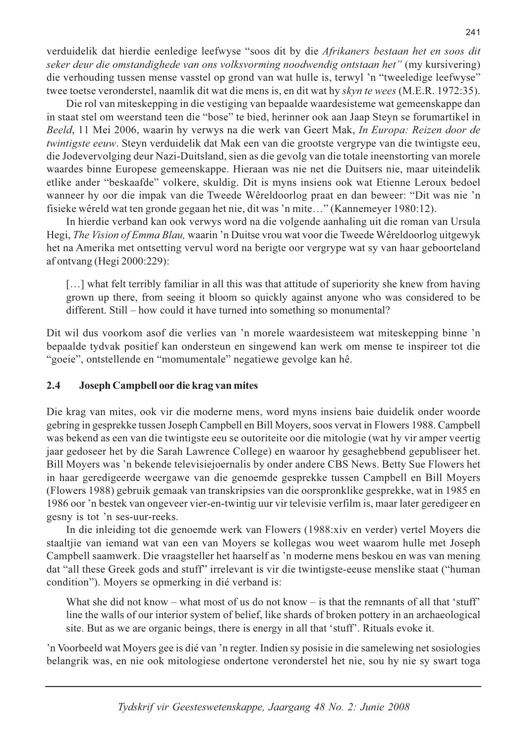verduidelik dat hierdie eenledige leefwyse "soos dit by die Afrikaners bestaan het en soos dit seker deur die omstandighede van ons volksvorming noodwendig ontstaan het" (my kursivering) die verhouding tussen mense vasstel op grond van wat hulle is, terwyl 'n "tweeledige leefwyse" twee toetse veronderstel, naamlik dit wat die mens is, en dit wat hy *skyn te wees* (M.E.R. 1972:35).

Die rol van miteskepping in die vestiging van bepaalde waardesisteme wat gemeenskappe dan in staat stel om weerstand teen die "bose" te bied, herinner ook aan Jaap Steyn se forumartikel in Beeld, 11 Mei 2006, waarin hy verwys na die werk van Geert Mak, In Europa: Reizen door de twintigste eeuw. Steyn verduidelik dat Mak een van die grootste vergrype van die twintigste eeu, die Jodevervolging deur Nazi-Duitsland, sien as die gevolg van die totale ineenstorting van morele waardes binne Europese gemeenskappe. Hieraan was nie net die Duitsers nie, maar uiteindelik etlike ander "beskaafde" volkere, skuldig. Dit is myns insiens ook wat Etienne Leroux bedoel wanneer hy oor die impak van die Tweede Wêreldoorlog praat en dan beweer: "Dit was nie 'n fisieke wêreld wat ten gronde gegaan het nie, dit was 'n mite..." (Kannemeyer 1980:12).

In hierdie verband kan ook verwys word na die volgende aanhaling uit die roman van Ursula Hegi, The Vision of Emma Blau, waarin 'n Duitse vrou wat voor die Tweede Wêreldoorlog uitgewyk het na Amerika met ontsetting vervul word na berigte oor vergrype wat sy van haar geboorteland af ontvang (Hegi 2000:229):

[...] what felt terribly familiar in all this was that attitude of superiority she knew from having grown up there, from seeing it bloom so quickly against anyone who was considered to be different. Still – how could it have turned into something so monumental?

Dit wil dus voorkom asof die verlies van 'n morele waardesisteem wat miteskepping binne 'n bepaalde tydvak positief kan ondersteun en singewend kan werk om mense te inspireer tot die "goeie", ontstellende en "momumentale" negatiewe gevolge kan hê.

#### $2.4$ Joseph Campbell oor die krag van mites

Die krag van mites, ook vir die moderne mens, word myns insiens baie duidelik onder woorde gebring in gesprekke tussen Joseph Campbell en Bill Moyers, soos vervat in Flowers 1988. Campbell was bekend as een van die twintigste eeu se outoriteite oor die mitologie (wat hy vir amper veertig jaar gedoseer het by die Sarah Lawrence College) en waaroor hy gesaghebbend gepubliseer het. Bill Moyers was 'n bekende televisiejoernalis by onder andere CBS News. Betty Sue Flowers het in haar geredigeerde weergawe van die genoemde gesprekke tussen Campbell en Bill Moyers (Flowers 1988) gebruik gemaak van transkripsies van die oorspronklike gesprekke, wat in 1985 en 1986 oor 'n bestek van ongeveer vier-en-twintig uur vir televisie verfilm is, maar later geredigeer en gesny is tot 'n ses-uur-reeks.

In die inleiding tot die genoemde werk van Flowers (1988:xiv en verder) vertel Moyers die staaltjie van iemand wat van een van Moyers se kollegas wou weet waarom hulle met Joseph Campbell saamwerk. Die vraagsteller het haarself as 'n moderne mens beskou en was van mening dat "all these Greek gods and stuff" irrelevant is vir die twintigste-eeuse menslike staat ("human condition"). Moyers se opmerking in dié verband is:

What she did not know – what most of us do not know – is that the remnants of all that 'stuff' line the walls of our interior system of belief, like shards of broken pottery in an archaeological site. But as we are organic beings, there is energy in all that 'stuff'. Rituals evoke it.

In Voorbeeld wat Moyers gee is dié van 'n regter. Indien sy posisie in die samelewing net sosiologies belangrik was, en nie ook mitologiese ondertone veronderstel het nie, sou hy nie sy swart toga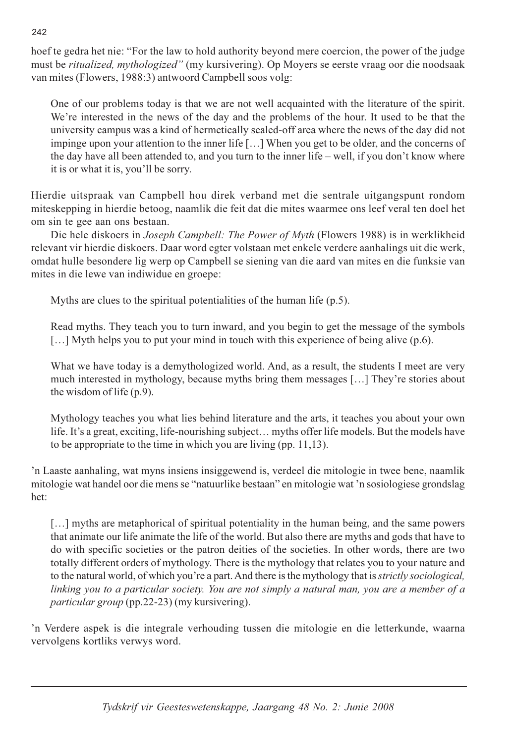hoef te gedra het nie: "For the law to hold authority beyond mere coercion, the power of the judge must be *ritualized, mythologized*" (my kursivering). Op Moyers se eerste vraag oor die noodsaak van mites (Flowers, 1988:3) antwoord Campbell soos volg:

One of our problems today is that we are not well acquainted with the literature of the spirit. We're interested in the news of the day and the problems of the hour. It used to be that the university campus was a kind of hermetically sealed-off area where the news of the day did not impinge upon your attention to the inner life [ $\ldots$ ] When you get to be older, and the concerns of the day have all been attended to, and you turn to the inner life – well, if you don't know where it is or what it is, you'll be sorry.

Hierdie uitspraak van Campbell hou direk verband met die sentrale uitgangspunt rondom miteskepping in hierdie betoog, naamlik die feit dat die mites waarmee ons leef veral ten doel het om sin te gee aan ons bestaan.

Die hele diskoers in *Joseph Campbell: The Power of Myth* (Flowers 1988) is in werklikheid relevant vir hierdie diskoers. Daar word egter volstaan met enkele verdere aanhalings uit die werk, omdat hulle besondere lig werp op Campbell se siening van die aard van mites en die funksie van mites in die lewe van indiwidue en groepe:

Myths are clues to the spiritual potentialities of the human life  $(p.5)$ .

Read myths. They teach you to turn inward, and you begin to get the message of the symbols  $\left[\ldots\right]$  Myth helps you to put your mind in touch with this experience of being alive (p.6).

What we have today is a demythologized world. And, as a result, the students I meet are very much interested in mythology, because myths bring them messages [...] They're stories about the wisdom of life  $(p.9)$ .

Mythology teaches you what lies behind literature and the arts, it teaches you about your own life. It's a great, exciting, life-nourishing subject... myths offer life models. But the models have to be appropriate to the time in which you are living (pp.  $11,13$ ).

In Laaste aanhaling, wat myns insiens insiggewend is, verdeel die mitologie in twee bene, naamlik mitologie wat handel oor die mens se "natuurlike bestaan" en mitologie wat 'n sosiologiese grondslag het:

[...] myths are metaphorical of spiritual potentiality in the human being, and the same powers that animate our life animate the life of the world. But also there are myths and gods that have to do with specific societies or the patron deities of the societies. In other words, there are two totally different orders of mythology. There is the mythology that relates you to your nature and to the natural world, of which you're a part. And there is the mythology that is *strictly sociological*, linking you to a particular society. You are not simply a natural man, you are a member of a *particular group* (pp.22-23) (my kursivering).

'n Verdere aspek is die integrale verhouding tussen die mitologie en die letterkunde, waarna vervolgens kortliks verwys word.

242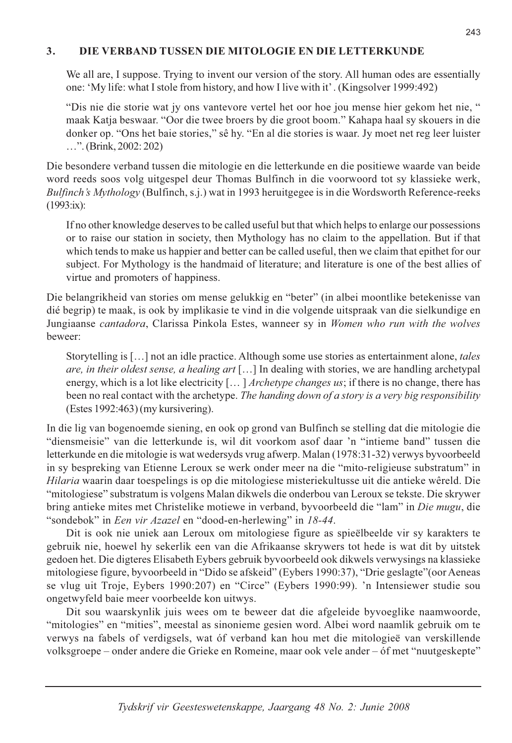#### DIE VERBAND TUSSEN DIE MITOLOGIE EN DIE LETTERKUNDE  $3.$

We all are, I suppose. Trying to invent our version of the story. All human odes are essentially one: 'My life: what I stole from history, and how I live with it'. (Kingsolver 1999:492)

"Dis nie die storie wat jy ons vantevore vertel het oor hoe jou mense hier gekom het nie, " maak Katja beswaar. "Oor die twee broers by die groot boom." Kahapa haal sy skouers in die donker op. "Ons het baie stories," sê hy. "En al die stories is waar. Jy moet net reg leer luister ...". (Brink, 2002: 202)

Die besondere verband tussen die mitologie en die letterkunde en die positiewe waarde van beide word reeds soos volg uitgespel deur Thomas Bulfinch in die voorwoord tot sy klassieke werk, Bulfinch's Mythology (Bulfinch, s.j.) wat in 1993 heruitgegee is in die Wordsworth Reference-reeks  $(1993:x):$ 

If no other knowledge deserves to be called useful but that which helps to enlarge our possessions or to raise our station in society, then Mythology has no claim to the appellation. But if that which tends to make us happier and better can be called useful, then we claim that epithet for our subject. For Mythology is the handmaid of literature; and literature is one of the best allies of virtue and promoters of happiness.

Die belangrikheid van stories om mense gelukkig en "beter" (in albei moontlike betekenisse van dié begrip) te maak, is ook by implikasie te vind in die volgende uitspraak van die sielkundige en Jungiaanse cantadora, Clarissa Pinkola Estes, wanneer sy in Women who run with the wolves heweer<sup>.</sup>

Storytelling is [...] not an idle practice. Although some use stories as entertainment alone, *tales* are, in their oldest sense, a healing art [...] In dealing with stories, we are handling archetypal energy, which is a lot like electricity [...] *Archetype changes us*; if there is no change, there has been no real contact with the archetype. The handing down of a story is a very big responsibility  $(Estes 1992:463)$  (my kursivering).

In die lig van bogenoemde siening, en ook op grond van Bulfinch se stelling dat die mitologie die "diensmeisie" van die letterkunde is, wil dit voorkom asof daar 'n "intieme band" tussen die letterkunde en die mitologie is wat wedersyds vrug afwerp. Malan (1978:31-32) verwys byvoorbeeld in sy bespreking van Etienne Leroux se werk onder meer na die "mito-religieuse substratum" in Hilaria waarin daar toespelings is op die mitologiese misteriekultusse uit die antieke wêreld. Die "mitologiese" substratum is volgens Malan dikwels die onderbou van Leroux se tekste. Die skrywer bring antieke mites met Christelike motiewe in verband, byvoorbeeld die "lam" in Die mugu, die "sondebok" in *Een vir Azazel* en "dood-en-herlewing" in 18-44.

Dit is ook nie uniek aan Leroux om mitologiese figure as spieëlbeelde vir sy karakters te gebruik nie, hoewel hy sekerlik een van die Afrikaanse skrywers tot hede is wat dit by uitstek gedoen het. Die digteres Elisabeth Eybers gebruik byvoorbeeld ook dikwels verwysings na klassieke mitologiese figure, byvoorbeeld in "Dido se afskeid" (Eybers 1990:37), "Drie geslagte" (oor Aeneas se vlug uit Troje, Eybers 1990:207) en "Circe" (Eybers 1990:99). 'n Intensiewer studie sou ongetwyfeld baie meer voorbeelde kon uitwys.

Dit sou waarskynlik juis wees om te beweer dat die afgeleide byvoeglike naamwoorde, "mitologies" en "mities", meestal as sinonieme gesien word. Albei word naamlik gebruik om te verwys na fabels of verdigsels, wat óf verband kan hou met die mitologieë van verskillende volksgroepe – onder andere die Grieke en Romeine, maar ook vele ander – óf met "nuutgeskepte"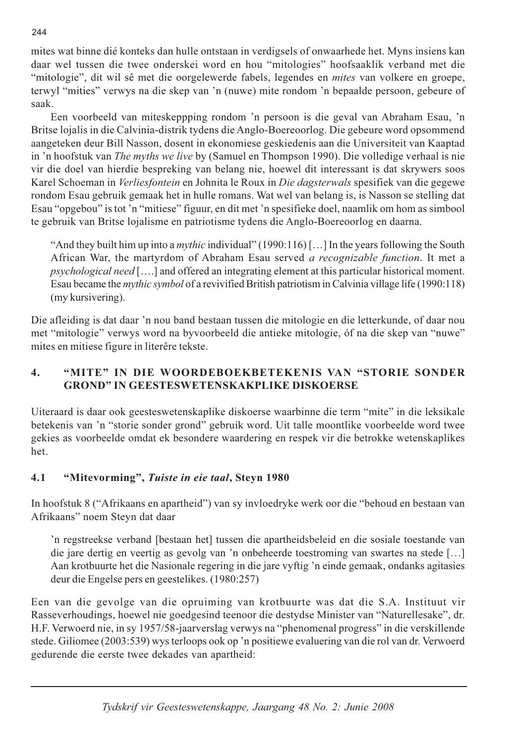mites wat binne dié konteks dan hulle ontstaan in verdigsels of onwaarhede het. Myns insiens kan daar wel tussen die twee onderskei word en hou "mitologies" hoofsaaklik verband met die "mitologie", dit wil sê met die oorgelewerde fabels, legendes en *mites* van volkere en groepe, terwyl "mities" verwys na die skep van 'n (nuwe) mite rondom 'n bepaalde persoon, gebeure of saak.

Een voorbeeld van miteskeppping rondom 'n persoon is die geval van Abraham Esau, 'n Britse lojalis in die Calvinia-distrik tydens die Anglo-Boereoorlog. Die gebeure word opsommend aangeteken deur Bill Nasson, dosent in ekonomiese geskiedenis aan die Universiteit van Kaaptad in 'n hoofstuk van The myths we live by (Samuel en Thompson 1990). Die volledige verhaal is nie vir die doel van hierdie bespreking van belang nie, hoewel dit interessant is dat skrywers soos Karel Schoeman in Verliesfontein en Johnita le Roux in Die dagsterwals spesifiek van die gegewe rondom Esau gebruik gemaak het in hulle romans. Wat wel van belang is, is Nasson se stelling dat Esau "opgebou" is tot 'n "mitiese" figuur, en dit met 'n spesifieke doel, naamlik om hom as simbool te gebruik van Britse lojalisme en patriotisme tydens die Anglo-Boereoorlog en daarna.

"And they built him up into a *mythic* individual" (1990:116) [...] In the years following the South African War, the martyrdom of Abraham Esau served a recognizable function. It met a *psychological need* [....] and offered an integrating element at this particular historical moment. Esau became the *mythic symbol* of a revivitied British patriotism in Calvinia village life (1990:118) (my kursivering).

Die afleiding is dat daar 'n nou band bestaan tussen die mitologie en die letterkunde, of daar nou met "mitologie" verwys word na byvoorbeeld die antieke mitologie, óf na die skep van "nuwe" mites en mitiese figure in literêre tekste.

### $\overline{4}$ . "MITE" IN DIE WOORDEBOEKBETEKENIS VAN "STORIE SONDER **GROND" IN GEESTESWETENSKAKPLIKE DISKOERSE**

Uiteraard is daar ook geesteswetenskaplike diskoerse waarbinne die term "mite" in die leksikale betekenis van 'n "storie sonder grond" gebruik word. Uit talle moontlike voorbeelde word twee gekies as voorbeelde omdat ek besondere waardering en respek vir die betrokke wetenskaplikes het.

#### $4.1$ "Mitevorming", Tuiste in eie taal, Steyn 1980

In hoofstuk 8 ("Afrikaans en apartheid") van sy invloedryke werk oor die "behoud en bestaan van Afrikaans" noem Steyn dat daar

'n regstreekse verband [bestaan het] tussen die apartheidsbeleid en die sosiale toestande van die jare dertig en veertig as gevolg van 'n onbeheerde toestroming van swartes na stede [...] Aan krotbuurte het die Nasionale regering in die jare vyftig 'n einde gemaak, ondanks agitasies deur die Engelse pers en geestelikes. (1980:257)

Een van die gevolge van die opruiming van krotbuurte was dat die S.A. Instituut vir Rasseverhoudings, hoewel nie goedgesind teenoor die destydse Minister van "Naturellesake", dr. H.F. Verwoerd nie, in sy 1957/58-jaarverslag verwys na "phenomenal progress" in die verskillende stede. Giliomee (2003:539) wys terloops ook op 'n positiewe evaluering van die rol van dr. Verwoerd gedurende die eerste twee dekades van apartheid: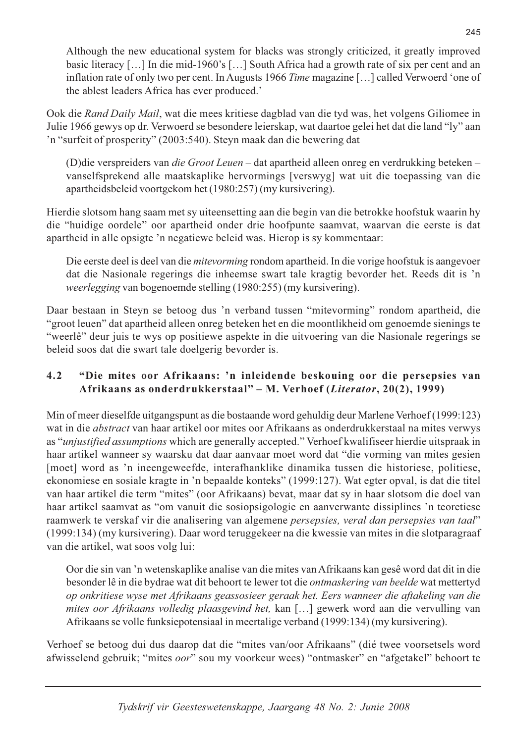Although the new educational system for blacks was strongly criticized, it greatly improved basic literacy [...] In die mid-1960's [...] South Africa had a growth rate of six per cent and an inflation rate of only two per cent. In Augusts 1966 Time magazine [...] called Verwoerd 'one of the ablest leaders Africa has ever produced.'

Ook die Rand Daily Mail, wat die mees kritiese dagblad van die tyd was, het volgens Giliomee in Julie 1966 gewys op dr. Verwoerd se besondere leierskap, wat daartoe gelei het dat die land "ly" aan 'n "surfeit of prosperity" (2003:540). Steyn maak dan die bewering dat

(D) die verspreiders van *die Groot Leuen* - dat apartheid alleen onreg en verdrukking beteken vanselfsprekend alle maatskaplike hervormings [verswyg] wat uit die toepassing van die apartheidsbeleid voortgekom het (1980:257) (my kursivering).

Hierdie slotsom hang saam met sy uiteensetting aan die begin van die betrokke hoofstuk waarin hy die "huidige oordele" oor apartheid onder drie hoofpunte saamvat, waarvan die eerste is dat apartheid in alle opsigte 'n negatiewe beleid was. Hierop is sy kommentaar:

Die eerste deel is deel van die *mitevorming* rondom apartheid. In die vorige hoofstuk is aangevoer dat die Nasionale regerings die inheemse swart tale kragtig bevorder het. Reeds dit is 'n *weerlegging* van bogenoemde stelling (1980:255) (my kursivering).

Daar bestaan in Steyn se betoog dus 'n verband tussen "mitevorming" rondom apartheid, die "groot leuen" dat apartheid alleen onreg beteken het en die moontlikheid om genoemde sienings te "weerlê" deur juis te wys op positiewe aspekte in die uitvoering van die Nasionale regerings se beleid soos dat die swart tale doelgerig bevorder is.

### $4.2$ "Die mites oor Afrikaans: 'n inleidende beskouing oor die persepsies van Afrikaans as onderdrukkerstaal" - M. Verhoef (Literator, 20(2), 1999)

Min of meer dieselfde uitgangspunt as die bostaande word gehuldig deur Marlene Verhoef (1999:123) wat in die *abstract* van haar artikel oor mites oor Afrikaans as onderdrukkerstaal na mites verwys as "unjustified assumptions which are generally accepted." Verhoef kwalifiseer hierdie uitspraak in haar artikel wanneer sy waarsku dat daar aanvaar moet word dat "die vorming van mites gesien [moet] word as 'n ineengeweefde, interafhanklike dinamika tussen die historiese, politiese, ekonomiese en sosiale kragte in 'n bepaalde konteks" (1999:127). Wat egter opval, is dat die titel van haar artikel die term "mites" (oor Afrikaans) bevat, maar dat sy in haar slotsom die doel van haar artikel saamvat as "om vanuit die sosiopsigologie en aanverwante dissiplines 'n teoretiese raamwerk te verskaf vir die analisering van algemene persepsies, veral dan persepsies van taal" (1999:134) (my kursivering). Daar word teruggekeer na die kwessie van mites in die slotparagraaf van die artikel, wat soos volg lui:

Oor die sin van 'n wetenskaplike analise van die mites van Afrikaans kan gesê word dat dit in die besonder lê in die bydrae wat dit behoort te lewer tot die *ontmaskering van beelde* wat mettertyd op onkritiese wyse met Afrikaans geassosieer geraak het. Eers wanneer die aftakeling van die mites oor Afrikaans volledig plaasgevind het, kan [...] gewerk word aan die vervulling van Afrikaans se volle funksiepotensiaal in meertalige verband (1999:134) (my kursivering).

Verhoef se betoog dui dus daarop dat die "mites van/oor Afrikaans" (dié twee voorsetsels word afwisselend gebruik; "mites oor" sou my voorkeur wees) "ontmasker" en "afgetakel" behoort te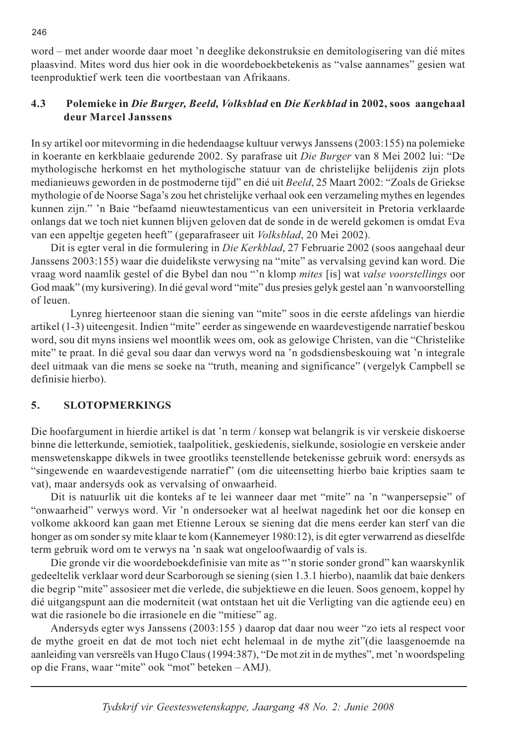word – met ander woorde daar moet 'n deeglike dekonstruksie en demitologisering van dié mites plaasvind. Mites word dus hier ook in die woordeboekbetekenis as "valse aannames" gesien wat teenproduktief werk teen die voortbestaan van Afrikaans.

### $4.3$ Polemieke in Die Burger, Beeld, Volksblad en Die Kerkblad in 2002, soos aangehaal deur Marcel Janssens

In sy artikel oor mitevorming in die hedendaagse kultuur verwys Janssens (2003:155) na polemieke in koerante en kerkblaaie gedurende 2002. Sy parafrase uit Die Burger van 8 Mei 2002 lui: "De mythologische herkomst en het mythologische statuur van de christelijke belijdenis zijn plots medianieuws geworden in de postmoderne tijd" en dié uit Beeld, 25 Maart 2002: "Zoals de Griekse mythologie of de Noorse Saga's zou het christelijke verhaal ook een verzameling mythes en legendes kunnen zijn." 'n Baie "befaamd nieuwtestamenticus van een universiteit in Pretoria verklaarde onlangs dat we toch niet kunnen blijven geloven dat de sonde in de wereld gekomen is omdat Eva van een appeltje gegeten heeft" (geparafraseer uit Volksblad, 20 Mei 2002).

Dit is egter veral in die formulering in Die Kerkblad, 27 Februarie 2002 (soos aangehaal deur Janssens 2003:155) waar die duidelikste verwysing na "mite" as vervalsing gevind kan word. Die vraag word naamlik gestel of die Bybel dan nou "'n klomp mites [is] wat valse voorstellings oor God maak" (my kursivering). In dié geval word "mite" dus presies gelyk gestel aan 'n wanvoorstelling of leuen.

Lynreg hierteenoor staan die siening van "mite" soos in die eerste afdelings van hierdie artikel (1-3) uiteengesit. Indien "mite" eerder as singewende en waardevestigende narratief beskou word, sou dit myns insiens wel moontlik wees om, ook as gelowige Christen, van die "Christelike" mite" te praat. In dié geval sou daar dan verwys word na 'n godsdiensbeskouing wat 'n integrale deel uitmaak van die mens se soeke na "truth, meaning and significance" (vergelyk Campbell se definisie hierbo).

#### $\overline{5}$ . **SLOTOPMERKINGS**

Die hoofargument in hierdie artikel is dat 'n term / konsep wat belangrik is vir verskeie diskoerse binne die letterkunde, semiotiek, taalpolitiek, geskiedenis, sielkunde, sosiologie en verskeie ander menswetenskappe dikwels in twee grootliks teenstellende betekenisse gebruik word: enersyds as "singewende en waardevestigende narratief" (om die uiteensetting hierbo baie kripties saam te vat), maar andersyds ook as vervalsing of onwaarheid.

Dit is natuurlik uit die konteks af te lei wanneer daar met "mite" na 'n "wanpersepsie" of "onwaarheid" verwys word. Vir 'n ondersoeker wat al heelwat nagedink het oor die konsep en volkome akkoord kan gaan met Etienne Leroux se siening dat die mens eerder kan sterf van die honger as om sonder sy mite klaar te kom (Kannemeyer 1980:12), is dit egter verwarrend as dieselfde term gebruik word om te verwys na 'n saak wat ongeloofwaardig of vals is.

Die gronde vir die woordeboekdefinisie van mite as "'n storie sonder grond" kan waarskynlik gedeeltelik verklaar word deur Scarborough se siening (sien 1.3.1 hierbo), naamlik dat baie denkers die begrip "mite" assosieer met die verlede, die subjektiewe en die leuen. Soos genoem, koppel hy dié uitgangspunt aan die moderniteit (wat ontstaan het uit die Verligting van die agtiende eeu) en wat die rasionele bo die irrasionele en die "mitiese" ag.

Andersyds egter wys Janssens (2003:155) daarop dat daar nou weer "zo iets al respect voor de mythe groeit en dat de mot toch niet echt helemaal in de mythe zit"(die laasgenoemde na aanleiding van versreëls van Hugo Claus (1994:387), "De mot zit in de mythes", met 'n woordspeling op die Frans, waar "mite" ook "mot" beteken - AMJ).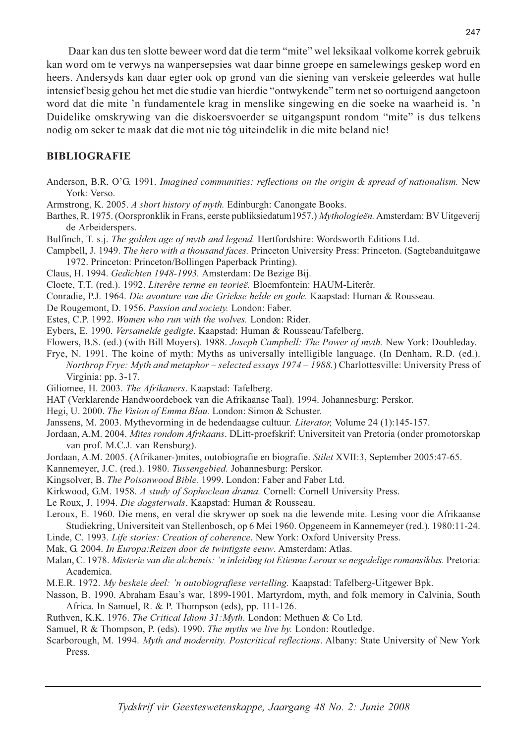Daar kan dus ten slotte beweer word dat die term "mite" wel leksikaal volkome korrek gebruik kan word om te verwys na wangersepsies wat daar binne groepe en samelewings geskep word en heers. Andersyds kan daar egter ook op grond van die siening van verskeie geleerdes wat hulle intensief besig gehou het met die studie van hierdie "ontwykende" term net so oortuigend aangetoon word dat die mite 'n fundamentele krag in menslike singewing en die soeke na waarheid is. 'n Duidelike omskrywing van die diskoersvoerder se uitgangspunt rondom "mite" is dus telkens nodig om seker te maak dat die mot nie tóg uiteindelik in die mite beland nie!

### **BIBLIOGRAFIE**

- Anderson, B.R. O'G. 1991. Imagined communities: reflections on the origin & spread of nationalism. New York: Verso.
- Armstrong, K. 2005. A short history of myth. Edinburgh: Canongate Books.
- Barthes, R. 1975. (Oorspronklik in Frans, eerste publiksiedatum 1957.) Mythologieën. Amsterdam: BV Uitgeverij de Arbeiderspers.
- Bulfinch, T. s.j. The golden age of myth and legend. Hertfordshire: Wordsworth Editions Ltd.
- Campbell, J. 1949. The hero with a thousand faces. Princeton University Press: Princeton. (Sagtebanduitgawe 1972. Princeton: Princeton/Bollingen Paperback Printing).
- Claus, H. 1994. Gedichten 1948-1993. Amsterdam: De Bezige Bij.
- Cloete, T.T. (red.). 1992. Literêre terme en teorieë. Bloemfontein: HAUM-Literêr.
- Conradie, P.J. 1964. Die avonture van die Griekse helde en gode. Kaapstad: Human & Rousseau.
- De Rougemont, D. 1956. Passion and society. London: Faber.
- Estes, C.P. 1992. Women who run with the wolves. London: Rider.
- Eybers, E. 1990. Versamelde gedigte. Kaapstad: Human & Rousseau/Tafelberg.
- Flowers, B.S. (ed.) (with Bill Moyers). 1988. Joseph Campbell: The Power of myth. New York: Doubleday.
- Frye, N. 1991. The koine of myth: Myths as universally intelligible language. (In Denham, R.D. (ed.). Northrop Frye: Myth and metaphor – selected essays 1974 – 1988.) Charlottesville: University Press of Virginia: pp. 3-17.
- Giliomee, H. 2003. The Afrikaners. Kaapstad: Tafelberg.
- HAT (Verklarende Handwoordeboek van die Afrikaanse Taal). 1994. Johannesburg: Perskor.
- Hegi, U. 2000. The Vision of Emma Blau. London: Simon & Schuster.
- Janssens, M. 2003. Mythevorming in de hedendaagse cultuur. Literator, Volume 24 (1):145-157.
- Jordaan, A.M. 2004. Mites rondom Afrikaans. DLitt-proefskrif: Universiteit van Pretoria (onder promotorskap van prof. M.C.J. van Rensburg).
- Jordaan, A.M. 2005. (Afrikaner-)mites, outobiografie en biografie. Stilet XVII:3, September 2005:47-65.
- Kannemeyer, J.C. (red.). 1980. Tussengebied. Johannesburg: Perskor.
- Kingsolver, B. The Poisonwood Bible. 1999. London: Faber and Faber Ltd.
- Kirkwood, G.M. 1958. A study of Sophoclean drama. Cornell: Cornell University Press.
- Le Roux, J. 1994. Die dagsterwals. Kaapstad: Human & Rousseau.
- Leroux, E. 1960. Die mens, en veral die skrywer op soek na die lewende mite. Lesing voor die Afrikaanse Studiekring, Universiteit van Stellenbosch, op 6 Mei 1960. Opgeneem in Kannemeyer (red.). 1980:11-24. Linde, C. 1993. Life stories: Creation of coherence. New York: Oxford University Press.
- Mak, G. 2004. In Europa: Reizen door de twintigste eeuw. Amsterdam: Atlas.
- Malan, C. 1978. Misterie van die alchemis: 'n inleiding tot Etienne Leroux se negedelige romansiklus. Pretoria: Academica.
- M.E.R. 1972. My beskeie deel: 'n outobiografiese vertelling. Kaapstad: Tafelberg-Uitgewer Bpk.
- Nasson, B. 1990. Abraham Esau's war, 1899-1901. Martyrdom, myth, and folk memory in Calvinia, South Africa. In Samuel, R. & P. Thompson (eds), pp. 111-126.
- Ruthven, K.K. 1976. The Critical Idiom 31: Myth. London: Methuen & Co Ltd.
- Samuel, R & Thompson, P. (eds). 1990. The myths we live by. London: Routledge.
- Scarborough, M. 1994. Myth and modernity. Postcritical reflections. Albany: State University of New York Press.